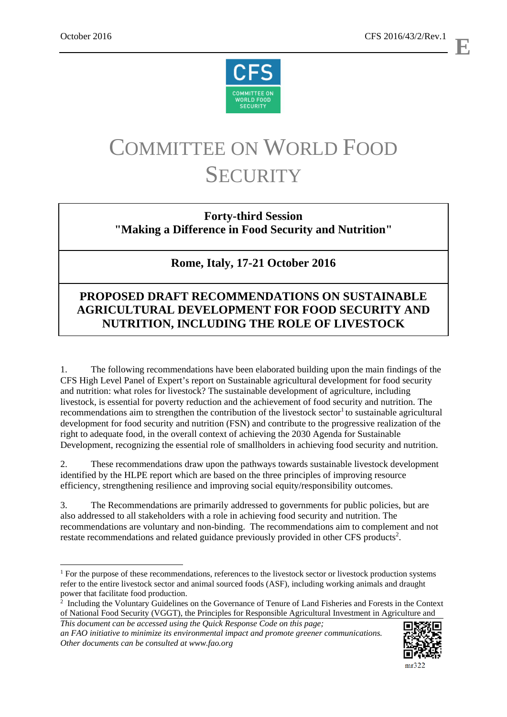1



# COMMITTEE ON WORLD FOOD **SECURITY**

## **Forty-third Session "Making a Difference in Food Security and Nutrition"**

# **Rome, Italy, 17-21 October 2016**

## **PROPOSED DRAFT RECOMMENDATIONS ON SUSTAINABLE AGRICULTURAL DEVELOPMENT FOR FOOD SECURITY AND NUTRITION, INCLUDING THE ROLE OF LIVESTOCK**

1. The following recommendations have been elaborated building upon the main findings of the CFS High Level Panel of Expert's report on Sustainable agricultural development for food security and nutrition: what roles for livestock? The sustainable development of agriculture, including livestock, is essential for poverty reduction and the achievement of food security and nutrition. The recommendations aim to strengthen the contribution of the livestock sector<sup>1</sup> to sustainable agricultural development for food security and nutrition (FSN) and contribute to the progressive realization of the right to adequate food, in the overall context of achieving the 2030 Agenda for Sustainable Development, recognizing the essential role of smallholders in achieving food security and nutrition.

2. These recommendations draw upon the pathways towards sustainable livestock development identified by the HLPE report which are based on the three principles of improving resource efficiency, strengthening resilience and improving social equity/responsibility outcomes.

3. The Recommendations are primarily addressed to governments for public policies, but are also addressed to all stakeholders with a role in achieving food security and nutrition. The recommendations are voluntary and non-binding. The recommendations aim to complement and not restate recommendations and related guidance previously provided in other CFS products<sup>2</sup>.

*an FAO initiative to minimize its environmental impact and promote greener communications. Other documents can be consulted at www.fao.org* 



 $mr322$ 

**E**

<sup>&</sup>lt;sup>1</sup> For the purpose of these recommendations, references to the livestock sector or livestock production systems refer to the entire livestock sector and animal sourced foods (ASF), including working animals and draught power that facilitate food production.

*This document can be accessed using the Quick Response Code on this page;*  <sup>2</sup> Including the Voluntary Guidelines on the Governance of Tenure of Land Fisheries and Forests in the Context of National Food Security (VGGT), the Principles for Responsible Agricultural Investment in Agriculture and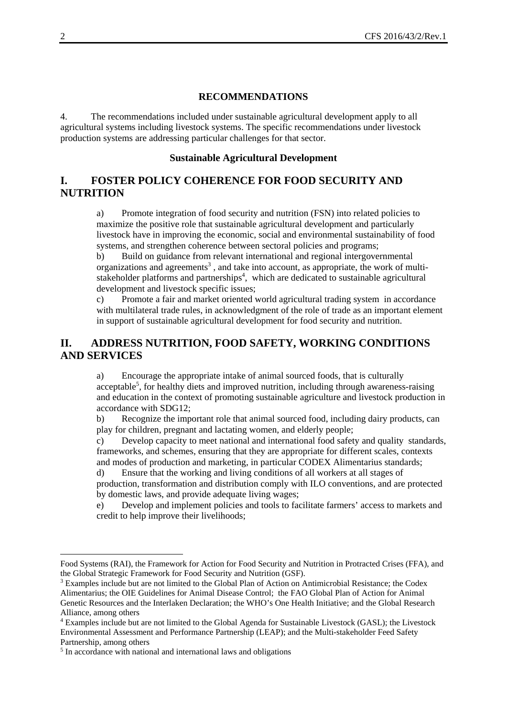#### **RECOMMENDATIONS**

4. The recommendations included under sustainable agricultural development apply to all agricultural systems including livestock systems. The specific recommendations under livestock production systems are addressing particular challenges for that sector.

#### **Sustainable Agricultural Development**

## **I. FOSTER POLICY COHERENCE FOR FOOD SECURITY AND NUTRITION**

a) Promote integration of food security and nutrition (FSN) into related policies to maximize the positive role that sustainable agricultural development and particularly livestock have in improving the economic, social and environmental sustainability of food systems, and strengthen coherence between sectoral policies and programs;

b) Build on guidance from relevant international and regional intergovernmental organizations and agreements<sup>3</sup>, and take into account, as appropriate, the work of multistakeholder platforms and partnerships<sup>4</sup>, which are dedicated to sustainable agricultural development and livestock specific issues;

c) Promote a fair and market oriented world agricultural trading system in accordance with multilateral trade rules, in acknowledgment of the role of trade as an important element in support of sustainable agricultural development for food security and nutrition.

## **II. ADDRESS NUTRITION, FOOD SAFETY, WORKING CONDITIONS AND SERVICES**

a) Encourage the appropriate intake of animal sourced foods, that is culturally acceptable<sup>5</sup>, for healthy diets and improved nutrition, including through awareness-raising and education in the context of promoting sustainable agriculture and livestock production in accordance with SDG12;

b) Recognize the important role that animal sourced food, including dairy products, can play for children, pregnant and lactating women, and elderly people;

c) Develop capacity to meet national and international food safety and quality standards, frameworks, and schemes, ensuring that they are appropriate for different scales, contexts and modes of production and marketing, in particular CODEX Alimentarius standards;

d) Ensure that the working and living conditions of all workers at all stages of production, transformation and distribution comply with ILO conventions, and are protected by domestic laws, and provide adequate living wages;

e) Develop and implement policies and tools to facilitate farmers' access to markets and credit to help improve their livelihoods;

-

Food Systems (RAI), the Framework for Action for Food Security and Nutrition in Protracted Crises (FFA), and the Global Strategic Framework for Food Security and Nutrition (GSF). 3

Examples include but are not limited to the Global Plan of Action on Antimicrobial Resistance; the Codex Alimentarius; the OIE Guidelines for Animal Disease Control; the FAO Global Plan of Action for Animal Genetic Resources and the Interlaken Declaration; the WHO's One Health Initiative; and the Global Research Alliance, among others

<sup>4</sup> Examples include but are not limited to the Global Agenda for Sustainable Livestock (GASL); the Livestock Environmental Assessment and Performance Partnership (LEAP); and the Multi-stakeholder Feed Safety Partnership, among others

<sup>&</sup>lt;sup>5</sup> In accordance with national and international laws and obligations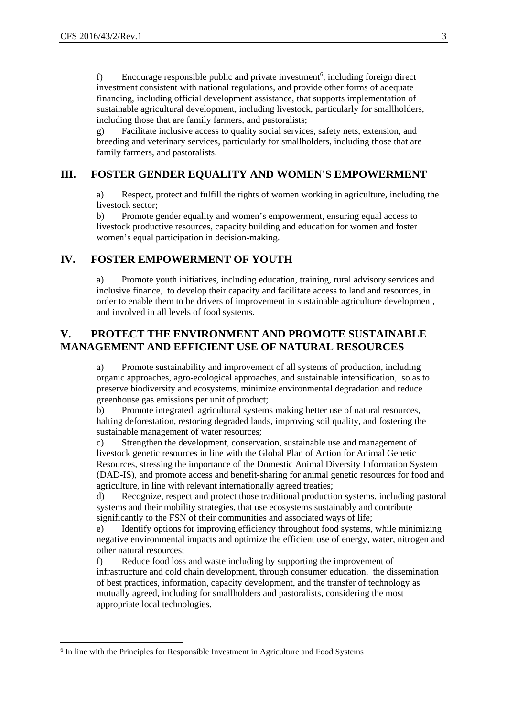f) Encourage responsible public and private investment<sup>6</sup>, including foreign direct investment consistent with national regulations, and provide other forms of adequate financing, including official development assistance, that supports implementation of sustainable agricultural development, including livestock, particularly for smallholders, including those that are family farmers, and pastoralists;

g) Facilitate inclusive access to quality social services, safety nets, extension, and breeding and veterinary services, particularly for smallholders, including those that are family farmers, and pastoralists.

## **III. FOSTER GENDER EQUALITY AND WOMEN'S EMPOWERMENT**

a) Respect, protect and fulfill the rights of women working in agriculture, including the livestock sector;

b) Promote gender equality and women's empowerment, ensuring equal access to livestock productive resources, capacity building and education for women and foster women's equal participation in decision-making.

## **IV. FOSTER EMPOWERMENT OF YOUTH**

a) Promote youth initiatives, including education, training, rural advisory services and inclusive finance, to develop their capacity and facilitate access to land and resources, in order to enable them to be drivers of improvement in sustainable agriculture development, and involved in all levels of food systems.

## **V. PROTECT THE ENVIRONMENT AND PROMOTE SUSTAINABLE MANAGEMENT AND EFFICIENT USE OF NATURAL RESOURCES**

a) Promote sustainability and improvement of all systems of production, including organic approaches, agro-ecological approaches, and sustainable intensification, so as to preserve biodiversity and ecosystems, minimize environmental degradation and reduce greenhouse gas emissions per unit of product;

b) Promote integrated agricultural systems making better use of natural resources, halting deforestation, restoring degraded lands, improving soil quality, and fostering the sustainable management of water resources;

c) Strengthen the development, conservation, sustainable use and management of livestock genetic resources in line with the Global Plan of Action for Animal Genetic Resources, stressing the importance of the Domestic Animal Diversity Information System (DAD-IS), and promote access and benefit-sharing for animal genetic resources for food and agriculture, in line with relevant internationally agreed treaties;

d) Recognize, respect and protect those traditional production systems, including pastoral systems and their mobility strategies, that use ecosystems sustainably and contribute significantly to the FSN of their communities and associated ways of life;

e) Identify options for improving efficiency throughout food systems, while minimizing negative environmental impacts and optimize the efficient use of energy, water, nitrogen and other natural resources;

f) Reduce food loss and waste including by supporting the improvement of infrastructure and cold chain development, through consumer education, the dissemination of best practices, information, capacity development, and the transfer of technology as mutually agreed, including for smallholders and pastoralists, considering the most appropriate local technologies.

-

<sup>&</sup>lt;sup>6</sup> In line with the Principles for Responsible Investment in Agriculture and Food Systems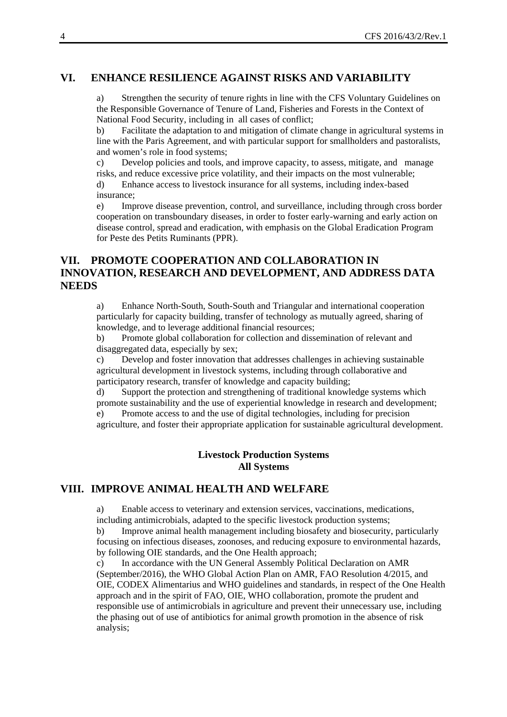## **VI. ENHANCE RESILIENCE AGAINST RISKS AND VARIABILITY**

a) Strengthen the security of tenure rights in line with the CFS Voluntary Guidelines on the Responsible Governance of Tenure of Land, Fisheries and Forests in the Context of National Food Security, including in all cases of conflict;

b) Facilitate the adaptation to and mitigation of climate change in agricultural systems in line with the Paris Agreement, and with particular support for smallholders and pastoralists, and women's role in food systems;

c) Develop policies and tools, and improve capacity, to assess, mitigate, and manage risks, and reduce excessive price volatility, and their impacts on the most vulnerable;

d) Enhance access to livestock insurance for all systems, including index-based insurance;

e) Improve disease prevention, control, and surveillance, including through cross border cooperation on transboundary diseases, in order to foster early-warning and early action on disease control, spread and eradication, with emphasis on the Global Eradication Program for Peste des Petits Ruminants (PPR).

## **VII. PROMOTE COOPERATION AND COLLABORATION IN INNOVATION, RESEARCH AND DEVELOPMENT, AND ADDRESS DATA NEEDS**

a) Enhance North-South, South-South and Triangular and international cooperation particularly for capacity building, transfer of technology as mutually agreed, sharing of knowledge, and to leverage additional financial resources;

b) Promote global collaboration for collection and dissemination of relevant and disaggregated data, especially by sex;

c) Develop and foster innovation that addresses challenges in achieving sustainable agricultural development in livestock systems, including through collaborative and participatory research, transfer of knowledge and capacity building;

d) Support the protection and strengthening of traditional knowledge systems which promote sustainability and the use of experiential knowledge in research and development;

e) Promote access to and the use of digital technologies, including for precision agriculture, and foster their appropriate application for sustainable agricultural development.

## **Livestock Production Systems All Systems**

## **VIII. IMPROVE ANIMAL HEALTH AND WELFARE**

a) Enable access to veterinary and extension services, vaccinations, medications, including antimicrobials, adapted to the specific livestock production systems;

b) Improve animal health management including biosafety and biosecurity, particularly focusing on infectious diseases, zoonoses, and reducing exposure to environmental hazards, by following OIE standards, and the One Health approach;

c) In accordance with the UN General Assembly Political Declaration on AMR (September/2016), the WHO Global Action Plan on AMR, FAO Resolution 4/2015, and OIE, CODEX Alimentarius and WHO guidelines and standards, in respect of the One Health approach and in the spirit of FAO, OIE, WHO collaboration, promote the prudent and responsible use of antimicrobials in agriculture and prevent their unnecessary use, including the phasing out of use of antibiotics for animal growth promotion in the absence of risk analysis;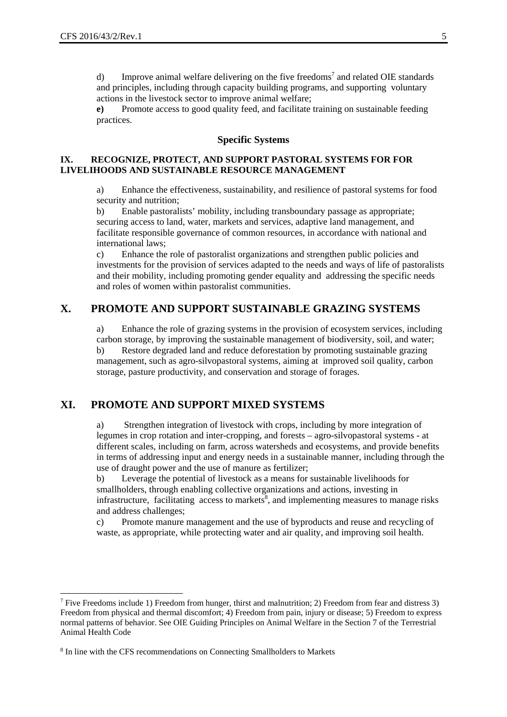d) Improve animal welfare delivering on the five freedoms<sup>7</sup> and related OIE standards and principles, including through capacity building programs, and supporting voluntary actions in the livestock sector to improve animal welfare;

**e)** Promote access to good quality feed, and facilitate training on sustainable feeding practices.

#### **Specific Systems**

#### IX. RECOGNIZE, PROTECT, AND SUPPORT PASTORAL SYSTEMS FOR FOR **LIVELIHOODS AND SUSTAINABLE RESOURCE MANAGEMENT**

a) Enhance the effectiveness, sustainability, and resilience of pastoral systems for food security and nutrition;

b) Enable pastoralists' mobility, including transboundary passage as appropriate; securing access to land, water, markets and services, adaptive land management, and facilitate responsible governance of common resources, in accordance with national and international laws;

c) Enhance the role of pastoralist organizations and strengthen public policies and investments for the provision of services adapted to the needs and ways of life of pastoralists and their mobility, including promoting gender equality and addressing the specific needs and roles of women within pastoralist communities.

## **X. PROMOTE AND SUPPORT SUSTAINABLE GRAZING SYSTEMS**

a) Enhance the role of grazing systems in the provision of ecosystem services, including carbon storage, by improving the sustainable management of biodiversity, soil, and water; b) Restore degraded land and reduce deforestation by promoting sustainable grazing management, such as agro-silvopastoral systems, aiming at improved soil quality, carbon storage, pasture productivity, and conservation and storage of forages.

## **XI. PROMOTE AND SUPPORT MIXED SYSTEMS**

a) Strengthen integration of livestock with crops, including by more integration of legumes in crop rotation and inter-cropping, and forests – agro-silvopastoral systems - at different scales, including on farm, across watersheds and ecosystems, and provide benefits in terms of addressing input and energy needs in a sustainable manner, including through the use of draught power and the use of manure as fertilizer;

b) Leverage the potential of livestock as a means for sustainable livelihoods for smallholders, through enabling collective organizations and actions, investing in infrastructure, facilitating access to markets<sup>8</sup>, and implementing measures to manage risks and address challenges;

c) Promote manure management and the use of byproducts and reuse and recycling of waste, as appropriate, while protecting water and air quality, and improving soil health.

1

<sup>&</sup>lt;sup>7</sup> Five Freedoms include 1) Freedom from hunger, thirst and malnutrition; 2) Freedom from fear and distress 3) Freedom from physical and thermal discomfort; 4) Freedom from pain, injury or disease; 5) Freedom to express normal patterns of behavior. See OIE Guiding Principles on Animal Welfare in the Section 7 of the Terrestrial Animal Health Code

<sup>&</sup>lt;sup>8</sup> In line with the CFS recommendations on Connecting Smallholders to Markets